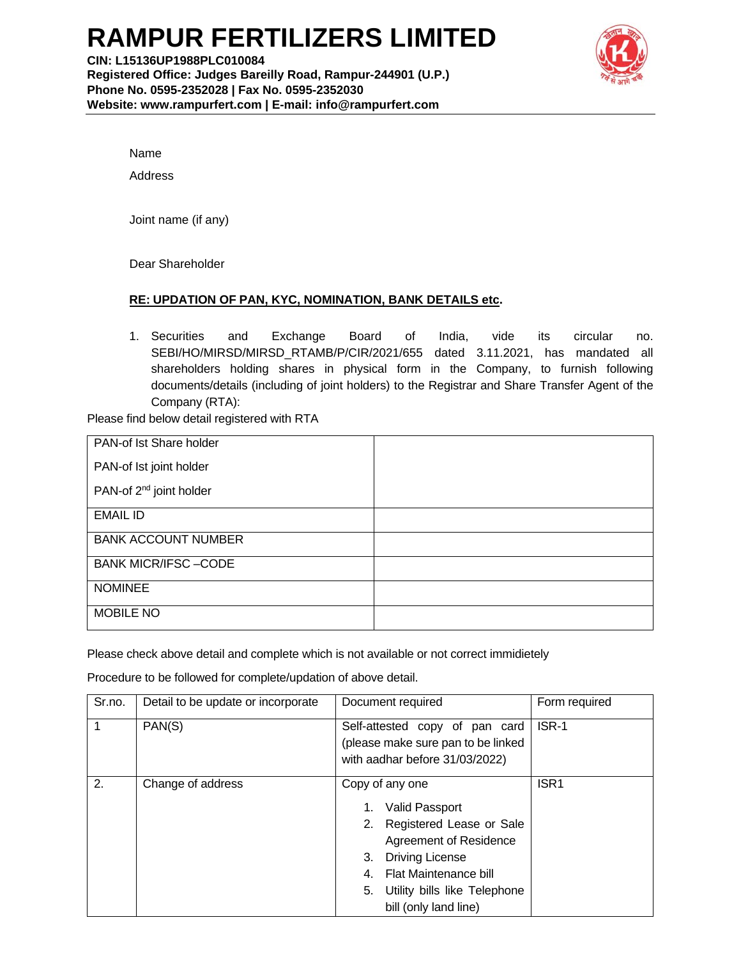## **RAMPUR FERTILIZERS LIMITED**



Name

Address

Joint name (if any)

Dear Shareholder

## **RE: UPDATION OF PAN, KYC, NOMINATION, BANK DETAILS etc.**

1. Securities and Exchange Board of India, vide its circular no. SEBI/HO/MIRSD/MIRSD\_RTAMB/P/CIR/2021/655 dated 3.11.2021, has mandated all shareholders holding shares in physical form in the Company, to furnish following documents/details (including of joint holders) to the Registrar and Share Transfer Agent of the Company (RTA):

Please find below detail registered with RTA

| PAN-of Ist Share holder             |  |
|-------------------------------------|--|
| PAN-of Ist joint holder             |  |
| PAN-of 2 <sup>nd</sup> joint holder |  |
| <b>EMAIL ID</b>                     |  |
| <b>BANK ACCOUNT NUMBER</b>          |  |
| <b>BANK MICR/IFSC-CODE</b>          |  |
| <b>NOMINEE</b>                      |  |
| <b>MOBILE NO</b>                    |  |

Please check above detail and complete which is not available or not correct immidietely

Procedure to be followed for complete/updation of above detail.

| Sr.no. | Detail to be update or incorporate | Document required                                                                                                                                                                                                      | Form required    |
|--------|------------------------------------|------------------------------------------------------------------------------------------------------------------------------------------------------------------------------------------------------------------------|------------------|
|        | PAN(S)                             | Self-attested copy of pan card<br>(please make sure pan to be linked<br>with aadhar before 31/03/2022)                                                                                                                 | ISR-1            |
| 2.     | Change of address                  | Copy of any one<br><b>Valid Passport</b><br>2. Registered Lease or Sale<br>Agreement of Residence<br><b>Driving License</b><br>3.<br>Flat Maintenance bill<br>5. Utility bills like Telephone<br>bill (only land line) | ISR <sub>1</sub> |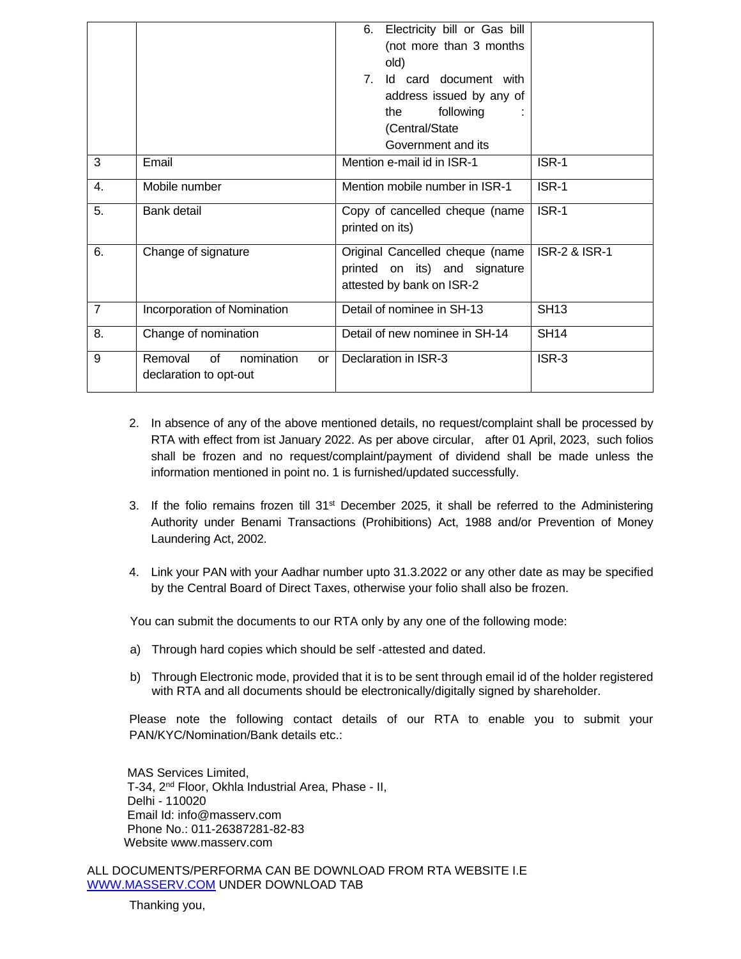|                |                                                          | 6. Electricity bill or Gas bill<br>(not more than 3 months<br>old)<br>Id card document with<br>$7^{\circ}$<br>address issued by any of<br>following<br>the<br>(Central/State |                          |
|----------------|----------------------------------------------------------|------------------------------------------------------------------------------------------------------------------------------------------------------------------------------|--------------------------|
|                |                                                          | Government and its                                                                                                                                                           |                          |
| 3              | Email                                                    | Mention e-mail id in ISR-1                                                                                                                                                   | ISR-1                    |
| 4.             | Mobile number                                            | Mention mobile number in ISR-1                                                                                                                                               | ISR-1                    |
| 5.             | Bank detail                                              | Copy of cancelled cheque (name<br>printed on its)                                                                                                                            | ISR-1                    |
| 6.             | Change of signature                                      | Original Cancelled cheque (name<br>printed on its) and signature<br>attested by bank on ISR-2                                                                                | <b>ISR-2 &amp; ISR-1</b> |
| $\overline{7}$ | Incorporation of Nomination                              | Detail of nominee in SH-13                                                                                                                                                   | <b>SH13</b>              |
| 8.             | Change of nomination                                     | Detail of new nominee in SH-14                                                                                                                                               | <b>SH14</b>              |
| 9              | Removal of<br>nomination<br>or<br>declaration to opt-out | Declaration in ISR-3                                                                                                                                                         | ISR-3                    |

- 2. In absence of any of the above mentioned details, no request/complaint shall be processed by RTA with effect from ist January 2022. As per above circular, after 01 April, 2023, such folios shall be frozen and no request/complaint/payment of dividend shall be made unless the information mentioned in point no. 1 is furnished/updated successfully.
- 3. If the folio remains frozen till 31<sup>st</sup> December 2025, it shall be referred to the Administering Authority under Benami Transactions (Prohibitions) Act, 1988 and/or Prevention of Money Laundering Act, 2002.
- 4. Link your PAN with your Aadhar number upto 31.3.2022 or any other date as may be specified by the Central Board of Direct Taxes, otherwise your folio shall also be frozen.

You can submit the documents to our RTA only by any one of the following mode:

- a) Through hard copies which should be self -attested and dated.
- b) Through Electronic mode, provided that it is to be sent through email id of the holder registered with RTA and all documents should be electronically/digitally signed by shareholder.

Please note the following contact details of our RTA to enable you to submit your PAN/KYC/Nomination/Bank details etc.:

 MAS Services Limited, T-34, 2<sup>nd</sup> Floor, Okhla Industrial Area, Phase - II, Delhi - 110020 Email Id: info@masserv.com Phone No.: 011-26387281-82-83 Website www.masserv.com

ALL DOCUMENTS/PERFORMA CAN BE DOWNLOAD FROM RTA WEBSITE I.E WWW.MASSERV.COM UNDER DOWNLOAD TAB

Thanking you,